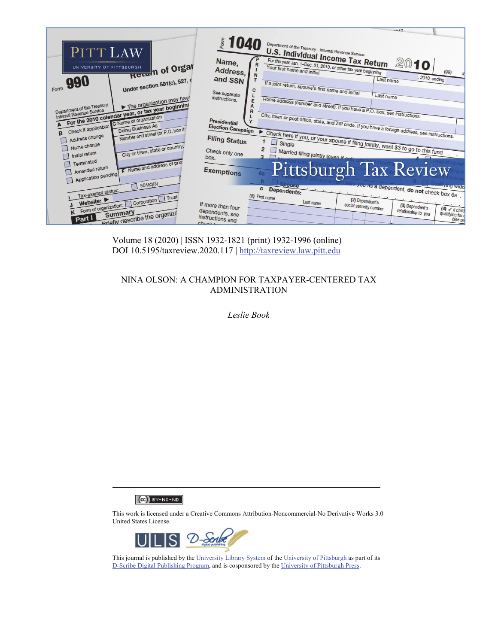

Volume 18 (2020) | ISSN 1932-1821 (print) 1932-1996 (online) DOI 10.5195/taxreview.2020.117 | http://taxreview.law.pitt.edu

# NINA OLSON: A CHAMPION FOR TAXPAYER-CENTERED TAX ADMINISTRATION

*Leslie Book* 

 $(Ce)$  BY-NC-ND

This work is licensed under a Creative Commons Attribution-Noncommercial-No Derivative Works 3.0 United States License.



This journal is published by the University Library System of the University of Pittsburgh as part of its D-Scribe Digital Publishing Program, and is cosponsored by the University of Pittsburgh Press.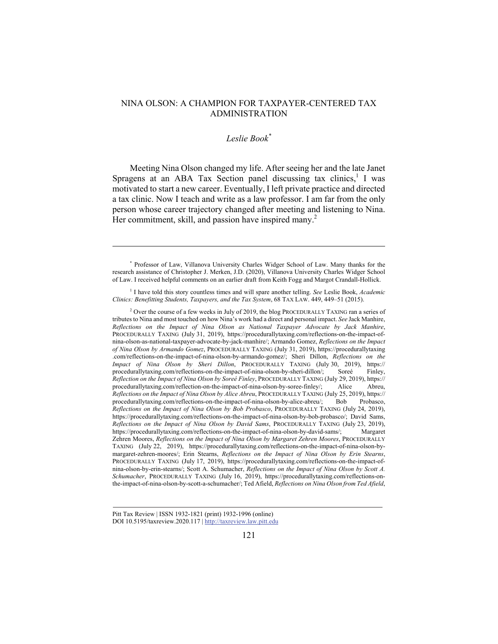# NINA OLSON: A CHAMPION FOR TAXPAYER-CENTERED TAX ADMINISTRATION

### *Leslie Book\**

Meeting Nina Olson changed my life. After seeing her and the late Janet Spragens at an ABA Tax Section panel discussing tax clinics,<sup>1</sup> I was motivated to start a new career. Eventually, I left private practice and directed a tax clinic. Now I teach and write as a law professor. I am far from the only person whose career trajectory changed after meeting and listening to Nina. Her commitment, skill, and passion have inspired many.<sup>2</sup>

<sup>1</sup> I have told this story countless times and will spare another telling. See Leslie Book, *Academic Clinics: Benefitting Students, Taxpayers, and the Tax System*, 68 TAX LAW. 449, 449–51 (2015).

<sup>2</sup> Over the course of a few weeks in July of 2019, the blog PROCEDURALLY TAXING ran a series of tributes to Nina and most touched on how Nina's work had a direct and personal impact. *See* Jack Manhire, *Reflections on the Impact of Nina Olson as National Taxpayer Advocate by Jack Manhire*, PROCEDURALLY TAXING (July 31, 2019), https://procedurallytaxing.com/reflections-on-the-impact-ofnina-olson-as-national-taxpayer-advocate-by-jack-manhire/; Armando Gomez, *Reflections on the Impact of Nina Olson by Armando Gomez*, PROCEDURALLY TAXING (July 31, 2019), https://procedurallytaxing .com/reflections-on-the-impact-of-nina-olson-by-armando-gomez/; Sheri Dillon, *Reflections on the Impact of Nina Olson by Sheri Dillon*, PROCEDURALLY TAXING (July 30, 2019), https:// procedurallytaxing.com/reflections-on-the-impact-of-nina-olson-by-sheri-dillon/; Soreé Finley, *Reflection on the Impact of Nina Olson by Soreé Finley*, PROCEDURALLY TAXING (July 29, 2019), https:// procedurallytaxing.com/reflection-on-the-impact-of-nina-olson-by-soree-finley/; Alice Abreu, *Reflections on the Impact of Nina Olson by Alice Abreu*, PROCEDURALLY TAXING (July 25, 2019), https:// procedurallytaxing.com/reflections-on-the-impact-of-nina-olson-by-alice-abreu/; Bob Probasco, *Reflections on the Impact of Nina Olson by Bob Probasco*, PROCEDURALLY TAXING (July 24, 2019), https://procedurallytaxing.com/reflections-on-the-impact-of-nina-olson-by-bob-probasco/; David Sams, *Reflections on the Impact of Nina Olson by David Sams*, PROCEDURALLY TAXING (July 23, 2019), https://procedurallytaxing.com/reflections-on-the-impact-of-nina-olson-by-david-sams/; Margaret Zehren Moores, *Reflections on the Impact of Nina Olson by Margaret Zehren Moores*, PROCEDURALLY TAXING (July 22, 2019), https://procedurallytaxing.com/reflections-on-the-impact-of-nina-olson-bymargaret-zehren-moores/; Erin Stearns, *Reflections on the Impact of Nina Olson by Erin Stearns*, PROCEDURALLY TAXING (July 17, 2019), https://procedurallytaxing.com/reflections-on-the-impact-ofnina-olson-by-erin-stearns/; Scott A. Schumacher, *Reflections on the Impact of Nina Olson by Scott A. Schumacher*, PROCEDURALLY TAXING (July 16, 2019), https://procedurallytaxing.com/reflections-onthe-impact-of-nina-olson-by-scott-a-schumacher/; Ted Afield, *Reflections on Nina Olson from Ted Afield*,

<sup>\*</sup> Professor of Law, Villanova University Charles Widger School of Law. Many thanks for the research assistance of Christopher J. Merken, J.D. (2020), Villanova University Charles Widger School of Law. I received helpful comments on an earlier draft from Keith Fogg and Margot Crandall-Hollick.

Pitt Tax Review | ISSN 1932-1821 (print) 1932-1996 (online) DOI 10.5195/taxreview.2020.117 | http://taxreview.law.pitt.edu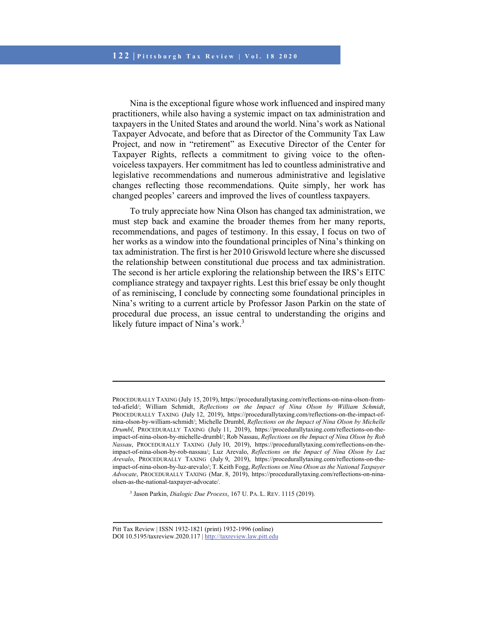Nina is the exceptional figure whose work influenced and inspired many practitioners, while also having a systemic impact on tax administration and taxpayers in the United States and around the world. Nina's work as National Taxpayer Advocate, and before that as Director of the Community Tax Law Project, and now in "retirement" as Executive Director of the Center for Taxpayer Rights, reflects a commitment to giving voice to the oftenvoiceless taxpayers. Her commitment has led to countless administrative and legislative recommendations and numerous administrative and legislative changes reflecting those recommendations. Quite simply, her work has changed peoples' careers and improved the lives of countless taxpayers.

To truly appreciate how Nina Olson has changed tax administration, we must step back and examine the broader themes from her many reports, recommendations, and pages of testimony. In this essay, I focus on two of her works as a window into the foundational principles of Nina's thinking on tax administration. The first is her 2010 Griswold lecture where she discussed the relationship between constitutional due process and tax administration. The second is her article exploring the relationship between the IRS's EITC compliance strategy and taxpayer rights. Lest this brief essay be only thought of as reminiscing, I conclude by connecting some foundational principles in Nina's writing to a current article by Professor Jason Parkin on the state of procedural due process, an issue central to understanding the origins and likely future impact of Nina's work.<sup>3</sup>

3 Jason Parkin, *Dialogic Due Process*, 167 U. PA. L. REV. 1115 (2019).

PROCEDURALLY TAXING (July 15, 2019), https://procedurallytaxing.com/reflections-on-nina-olson-fromted-afield/; William Schmidt, *Reflections on the Impact of Nina Olson by William Schmidt*, PROCEDURALLY TAXING (July 12, 2019), https://procedurallytaxing.com/reflections-on-the-impact-ofnina-olson-by-william-schmidt/; Michelle Drumbl, *Reflections on the Impact of Nina Olson by Michelle Drumbl*, PROCEDURALLY TAXING (July 11, 2019), https://procedurallytaxing.com/reflections-on-theimpact-of-nina-olson-by-michelle-drumbl/; Rob Nassau, *Reflections on the Impact of Nina Olson by Rob Nassau*, PROCEDURALLY TAXING (July 10, 2019), https://procedurallytaxing.com/reflections-on-theimpact-of-nina-olson-by-rob-nassau/; Luz Arevalo, *Reflections on the Impact of Nina Olson by Luz Arevalo*, PROCEDURALLY TAXING (July 9, 2019), https://procedurallytaxing.com/reflections-on-theimpact-of-nina-olson-by-luz-arevalo/; T. Keith Fogg, *Reflections on Nina Olson as the National Taxpayer Advocate*, PROCEDURALLY TAXING (Mar. 8, 2019), https://procedurallytaxing.com/reflections-on-ninaolsen-as-the-national-taxpayer-advocate/.

Pitt Tax Review | ISSN 1932-1821 (print) 1932-1996 (online) DOI 10.5195/taxreview.2020.117 | http://taxreview.law.pitt.edu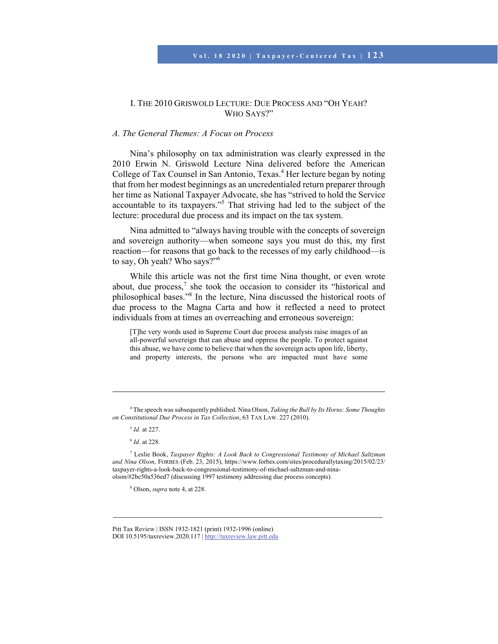### I. THE 2010 GRISWOLD LECTURE: DUE PROCESS AND "OH YEAH? WHO SAYS?"

## *A. The General Themes: A Focus on Process*

Nina's philosophy on tax administration was clearly expressed in the 2010 Erwin N. Griswold Lecture Nina delivered before the American College of Tax Counsel in San Antonio, Texas.<sup>4</sup> Her lecture began by noting that from her modest beginnings as an uncredentialed return preparer through her time as National Taxpayer Advocate, she has "strived to hold the Service accountable to its taxpayers."<sup>5</sup> That striving had led to the subject of the lecture: procedural due process and its impact on the tax system.

Nina admitted to "always having trouble with the concepts of sovereign and sovereign authority—when someone says you must do this, my first reaction—for reasons that go back to the recesses of my early childhood—is to say, Oh yeah? Who says?"<sup>6</sup>

While this article was not the first time Nina thought, or even wrote about, due process, $\bar{7}$  she took the occasion to consider its "historical and philosophical bases."<sup>8</sup> In the lecture, Nina discussed the historical roots of due process to the Magna Carta and how it reflected a need to protect individuals from at times an overreaching and erroneous sovereign:

[T]he very words used in Supreme Court due process analysis raise images of an all-powerful sovereign that can abuse and oppress the people. To protect against this abuse, we have come to believe that when the sovereign acts upon life, liberty, and property interests, the persons who are impacted must have some

<sup>5</sup> *Id.* at 227.

l

8 Olson, *supra* note 4, at 228.

Pitt Tax Review | ISSN 1932-1821 (print) 1932-1996 (online) DOI 10.5195/taxreview.2020.117 | http://taxreview.law.pitt.edu

<sup>4</sup> The speech was subsequently published. Nina Olson, *Taking the Bull by Its Horns: Some Thoughts on Constitutional Due Process in Tax Collection*, 63 TAX LAW. 227 (2010).

<sup>6</sup> *Id.* at 228.

<sup>7</sup> Leslie Book, *Taxpayer Rights: A Look Back to Congressional Testimony of Michael Saltzman and Nina Olson*, FORBES (Feb. 23, 2015), https://www.forbes.com/sites/procedurallytaxing/2015/02/23/ taxpayer-rights-a-look-back-to-congressional-testimony-of-michael-saltzman-and-ninaolson/#2bc50a536ed7 (discussing 1997 testimony addressing due process concepts).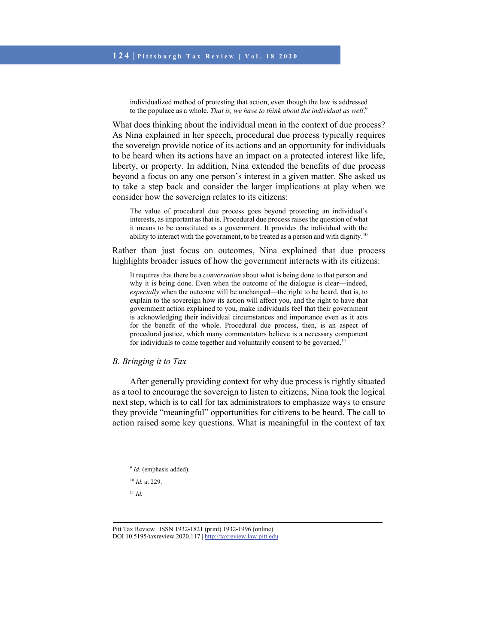individualized method of protesting that action, even though the law is addressed to the populace as a whole. *That is, we have to think about the individual as well.*<sup>9</sup>

What does thinking about the individual mean in the context of due process? As Nina explained in her speech, procedural due process typically requires the sovereign provide notice of its actions and an opportunity for individuals to be heard when its actions have an impact on a protected interest like life, liberty, or property. In addition, Nina extended the benefits of due process beyond a focus on any one person's interest in a given matter. She asked us to take a step back and consider the larger implications at play when we consider how the sovereign relates to its citizens:

The value of procedural due process goes beyond protecting an individual's interests, as important as that is. Procedural due process raises the question of what it means to be constituted as a government. It provides the individual with the ability to interact with the government, to be treated as a person and with dignity.<sup>10</sup>

Rather than just focus on outcomes, Nina explained that due process highlights broader issues of how the government interacts with its citizens:

It requires that there be a *conversation* about what is being done to that person and why it is being done. Even when the outcome of the dialogue is clear—indeed, *especially* when the outcome will be unchanged—the right to be heard, that is, to explain to the sovereign how its action will affect you, and the right to have that government action explained to you, make individuals feel that their government is acknowledging their individual circumstances and importance even as it acts for the benefit of the whole. Procedural due process, then, is an aspect of procedural justice, which many commentators believe is a necessary component for individuals to come together and voluntarily consent to be governed.<sup>11</sup>

*B. Bringing it to Tax* 

After generally providing context for why due process is rightly situated as a tool to encourage the sovereign to listen to citizens, Nina took the logical next step, which is to call for tax administrators to emphasize ways to ensure they provide "meaningful" opportunities for citizens to be heard. The call to action raised some key questions. What is meaningful in the context of tax

<sup>10</sup> *Id.* at 229.

<sup>11</sup> *Id.*

 $\overline{\phantom{a}}$ 

Pitt Tax Review | ISSN 1932-1821 (print) 1932-1996 (online) DOI 10.5195/taxreview.2020.117 | http://taxreview.law.pitt.edu

<sup>&</sup>lt;sup>9</sup> *Id.* (emphasis added).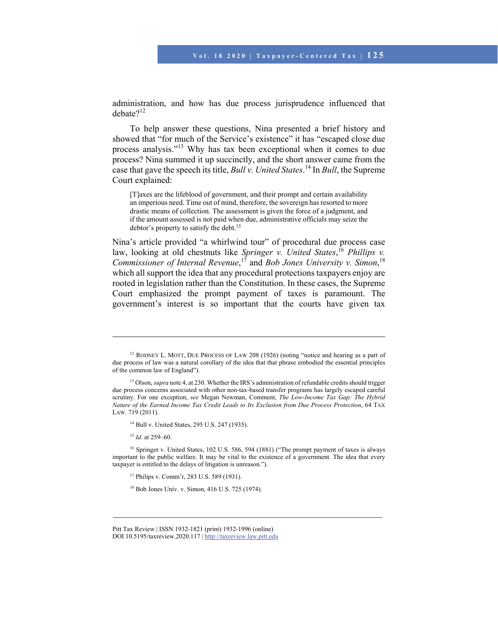administration, and how has due process jurisprudence influenced that debate?<sup>12</sup>

To help answer these questions, Nina presented a brief history and showed that "for much of the Service's existence" it has "escaped close due process analysis."13 Why has tax been exceptional when it comes to due process? Nina summed it up succinctly, and the short answer came from the case that gave the speech its title, *Bull v. United States*. 14 In *Bull*, the Supreme Court explained:

[T]axes are the lifeblood of government, and their prompt and certain availability an imperious need. Time out of mind, therefore, the sovereign has resorted to more drastic means of collection. The assessment is given the force of a judgment, and if the amount assessed is not paid when due, administrative officials may seize the debtor's property to satisfy the debt.<sup>15</sup>

Nina's article provided "a whirlwind tour" of procedural due process case law, looking at old chestnuts like *Springer v. United States*, <sup>16</sup> *Phillips v. Commissioner of Internal Revenue*, 17 and *Bob Jones University v. Simon*, 18 which all support the idea that any procedural protections taxpayers enjoy are rooted in legislation rather than the Constitution. In these cases, the Supreme Court emphasized the prompt payment of taxes is paramount. The government's interest is so important that the courts have given tax

14 Bull v. United States, 295 U.S. 247 (1935).

<sup>15</sup> *Id.* at 259–60.

l

16 Springer v. United States, 102 U.S. 586, 594 (1881) ("The prompt payment of taxes is always important to the public welfare. It may be vital to the existence of a government. The idea that every taxpayer is entitled to the delays of litigation is unreason.").

17 Philips v. Comm'r, 283 U.S. 589 (1931).

18 Bob Jones Univ. v. Simon, 416 U.S. 725 (1974).

<sup>&</sup>lt;sup>12</sup> RODNEY L. MOTT, DUE PROCESS OF LAW 208 (1926) (noting "notice and hearing as a part of due process of law was a natural corollary of the idea that that phrase embodied the essential principles of the common law of England").

<sup>&</sup>lt;sup>13</sup> Olson, *supra* note 4, at 230. Whether the IRS's administration of refundable credits should trigger due process concerns associated with other non-tax-based transfer programs has largely escaped careful scrutiny. For one exception, *see* Megan Newman, Comment, *The Low-Income Tax Gap: The Hybrid Nature of the Earned Income Tax Credit Leads to Its Exclusion from Due Process Protection*, 64 TAX LAW. 719 (2011).

Pitt Tax Review | ISSN 1932-1821 (print) 1932-1996 (online) DOI 10.5195/taxreview.2020.117 | http://taxreview.law.pitt.edu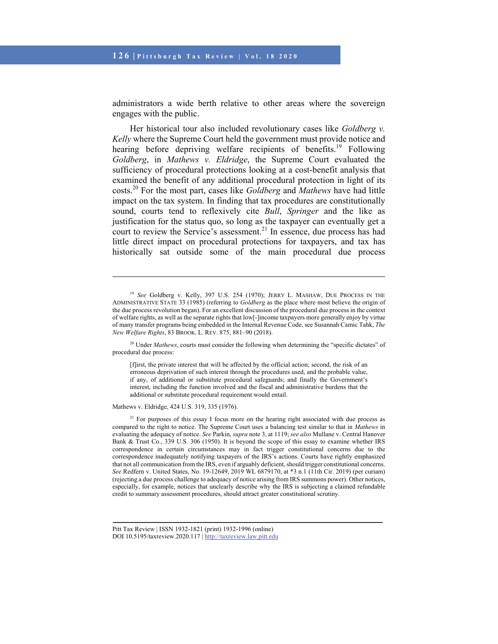administrators a wide berth relative to other areas where the sovereign engages with the public.

Her historical tour also included revolutionary cases like *Goldberg v. Kelly* where the Supreme Court held the government must provide notice and hearing before depriving welfare recipients of benefits.<sup>19</sup> Following *Goldberg*, in *Mathews v. Eldridge*, the Supreme Court evaluated the sufficiency of procedural protections looking at a cost-benefit analysis that examined the benefit of any additional procedural protection in light of its costs.20 For the most part, cases like *Goldberg* and *Mathews* have had little impact on the tax system. In finding that tax procedures are constitutionally sound, courts tend to reflexively cite *Bull*, *Springer* and the like as justification for the status quo, so long as the taxpayer can eventually get a court to review the Service's assessment.<sup>21</sup> In essence, due process has had little direct impact on procedural protections for taxpayers, and tax has historically sat outside some of the main procedural due process

[f]irst, the private interest that will be affected by the official action; second, the risk of an erroneous deprivation of such interest through the procedures used, and the probable value, if any, of additional or substitute procedural safeguards; and finally the Government's interest, including the function involved and the fiscal and administrative burdens that the additional or substitute procedural requirement would entail.

Mathews v. Eldridge, 424 U.S. 319, 335 (1976).

l

 $2<sup>1</sup>$  For purposes of this essay I focus more on the hearing right associated with due process as compared to the right to notice. The Supreme Court uses a balancing test similar to that in *Mathews* in evaluating the adequacy of notice. *See* Parkin, *supra* note 3, at 1119; *see also* Mullane v. Central Hanover Bank & Trust Co., 339 U.S. 306 (1950). It is beyond the scope of this essay to examine whether IRS correspondence in certain circumstances may in fact trigger constitutional concerns due to the correspondence inadequately notifying taxpayers of the IRS's actions. Courts have rightly emphasized that not all communication from the IRS, even if arguably deficient, should trigger constitutional concerns. *See* Redfern v. United States, No. 19-12649, 2019 WL 6879170, at \*3 n.1 (11th Cir. 2019) (per curiam) (rejecting a due process challenge to adequacy of notice arising from IRS summons power). Other notices, especially, for example, notices that unclearly describe why the IRS is subjecting a claimed refundable credit to summary assessment procedures, should attract greater constitutional scrutiny.

<sup>19</sup> *See* Goldberg v. Kelly, 397 U.S. 254 (1970); JERRY L. MASHAW, DUE PROCESS IN THE ADMINISTRATIVE STATE 33 (1985) (referring to *Goldberg* as the place where most believe the origin of the due process revolution began). For an excellent discussion of the procedural due process in the context of welfare rights, as well as the separate rights that low[-]income taxpayers more generally enjoy by virtue of many transfer programs being embedded in the Internal Revenue Code, see Susannah Camic Tahk, *The New Welfare Rights*, 83 BROOK. L. REV. 875, 881–90 (2018).

<sup>&</sup>lt;sup>20</sup> Under *Mathews*, courts must consider the following when determining the "specific dictates" of procedural due process:

Pitt Tax Review | ISSN 1932-1821 (print) 1932-1996 (online)

DOI 10.5195/taxreview.2020.117 | http://taxreview.law.pitt.edu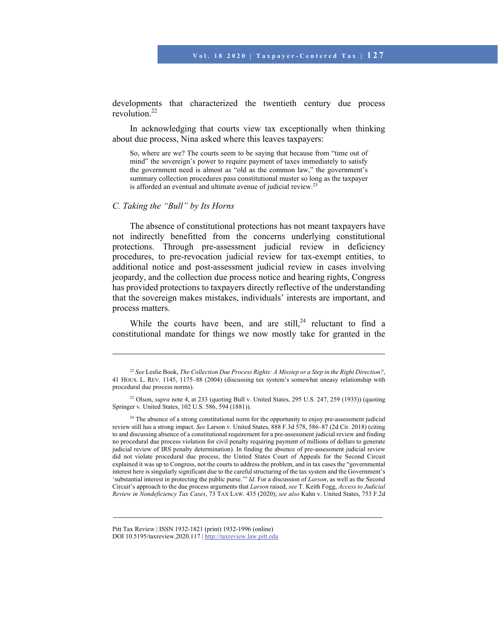developments that characterized the twentieth century due process revolution.22

In acknowledging that courts view tax exceptionally when thinking about due process, Nina asked where this leaves taxpayers:

So, where are we? The courts seem to be saying that because from "time out of mind" the sovereign's power to require payment of taxes immediately to satisfy the government need is almost as "old as the common law," the government's summary collection procedures pass constitutional muster so long as the taxpayer is afforded an eventual and ultimate avenue of judicial review.23

#### *C. Taking the "Bull" by Its Horns*

 $\overline{\phantom{a}}$ 

The absence of constitutional protections has not meant taxpayers have not indirectly benefitted from the concerns underlying constitutional protections. Through pre-assessment judicial review in deficiency procedures, to pre-revocation judicial review for tax-exempt entities, to additional notice and post-assessment judicial review in cases involving jeopardy, and the collection due process notice and hearing rights, Congress has provided protections to taxpayers directly reflective of the understanding that the sovereign makes mistakes, individuals' interests are important, and process matters.

While the courts have been, and are still,<sup>24</sup> reluctant to find a constitutional mandate for things we now mostly take for granted in the

<sup>22</sup> *See* Leslie Book, *The Collection Due Process Rights: A Misstep or a Step in the Right Direction?*, 41 HOUS. L. REV. 1145, 1175–88 (2004) (discussing tax system's somewhat uneasy relationship with procedural due process norms).

<sup>&</sup>lt;sup>23</sup> Olson, *supra* note 4, at 233 (quoting Bull v. United States, 295 U.S. 247, 259 (1935)) (quoting Springer v. United States, 102 U.S. 586, 594 (1881)).

<sup>&</sup>lt;sup>24</sup> The absence of a strong constitutional norm for the opportunity to enjoy pre-assessment judicial review still has a strong impact. *See* Larson v. United States, 888 F.3d 578, 586–87 (2d Cir. 2018) (citing to and discussing absence of a constitutional requirement for a pre-assessment judicial review and finding no procedural due process violation for civil penalty requiring payment of millions of dollars to generate judicial review of IRS penalty determination). In finding the absence of pre-assessment judicial review did not violate procedural due process, the United States Court of Appeals for the Second Circuit explained it was up to Congress, not the courts to address the problem, and in tax cases the "governmental interest here is singularly significant due to the careful structuring of the tax system and the Government's 'substantial interest in protecting the public purse.'" *Id.* For a discussion of *Larson*, as well as the Second Circuit's approach to the due process arguments that *Larson* raised, *see* T. Keith Fogg, *Access to Judicial Review in Nondeficiency Tax Cases*, 73 TAX LAW. 435 (2020); *see also* Kahn v. United States, 753 F.2d

Pitt Tax Review | ISSN 1932-1821 (print) 1932-1996 (online) DOI 10.5195/taxreview.2020.117 | http://taxreview.law.pitt.edu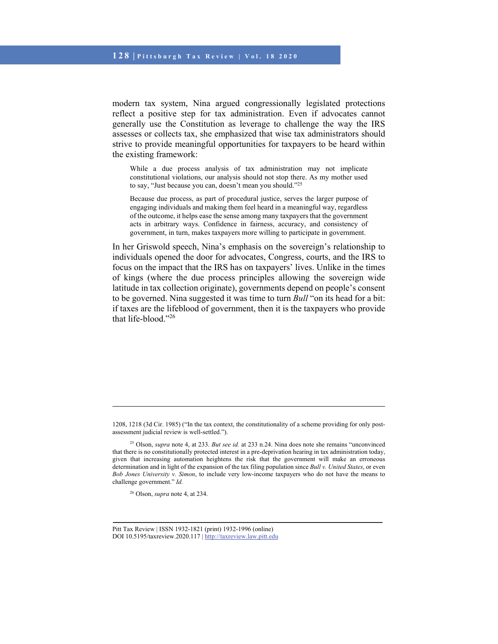modern tax system, Nina argued congressionally legislated protections reflect a positive step for tax administration. Even if advocates cannot generally use the Constitution as leverage to challenge the way the IRS assesses or collects tax, she emphasized that wise tax administrators should strive to provide meaningful opportunities for taxpayers to be heard within the existing framework:

While a due process analysis of tax administration may not implicate constitutional violations, our analysis should not stop there. As my mother used to say, "Just because you can, doesn't mean you should."25

Because due process, as part of procedural justice, serves the larger purpose of engaging individuals and making them feel heard in a meaningful way, regardless of the outcome, it helps ease the sense among many taxpayers that the government acts in arbitrary ways. Confidence in fairness, accuracy, and consistency of government, in turn, makes taxpayers more willing to participate in government.

In her Griswold speech, Nina's emphasis on the sovereign's relationship to individuals opened the door for advocates, Congress, courts, and the IRS to focus on the impact that the IRS has on taxpayers' lives. Unlike in the times of kings (where the due process principles allowing the sovereign wide latitude in tax collection originate), governments depend on people's consent to be governed. Nina suggested it was time to turn *Bull* "on its head for a bit: if taxes are the lifeblood of government, then it is the taxpayers who provide that life-blood."26

<sup>1208, 1218 (3</sup>d Cir. 1985) ("In the tax context, the constitutionality of a scheme providing for only postassessment judicial review is well-settled.").

<sup>25</sup> Olson, *supra* note 4, at 233. *But see id.* at 233 n.24. Nina does note she remains "unconvinced that there is no constitutionally protected interest in a pre-deprivation hearing in tax administration today, given that increasing automation heightens the risk that the government will make an erroneous determination and in light of the expansion of the tax filing population since *Bull v. United States*, or even *Bob Jones University v. Simon*, to include very low-income taxpayers who do not have the means to challenge government." *Id.*

<sup>26</sup> Olson, *supra* note 4, at 234.

Pitt Tax Review | ISSN 1932-1821 (print) 1932-1996 (online) DOI 10.5195/taxreview.2020.117 | http://taxreview.law.pitt.edu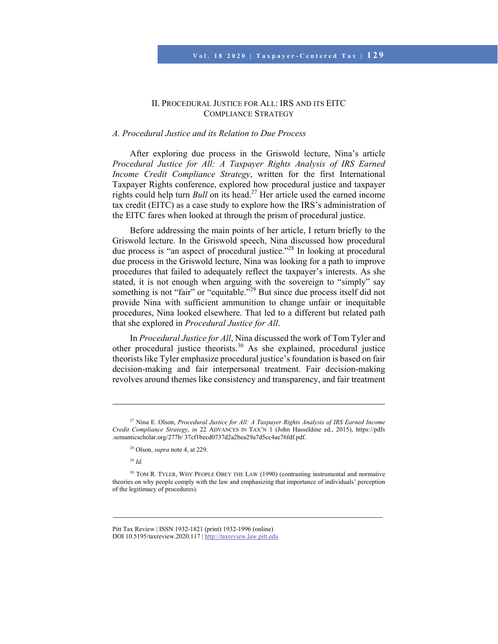# II. PROCEDURAL JUSTICE FOR ALL: IRS AND ITS EITC COMPLIANCE STRATEGY

### *A. Procedural Justice and its Relation to Due Process*

After exploring due process in the Griswold lecture, Nina's article *Procedural Justice for All: A Taxpayer Rights Analysis of IRS Earned Income Credit Compliance Strategy*, written for the first International Taxpayer Rights conference, explored how procedural justice and taxpayer rights could help turn *Bull* on its head.27 Her article used the earned income tax credit (EITC) as a case study to explore how the IRS's administration of the EITC fares when looked at through the prism of procedural justice.

Before addressing the main points of her article, I return briefly to the Griswold lecture. In the Griswold speech, Nina discussed how procedural due process is "an aspect of procedural justice."28 In looking at procedural due process in the Griswold lecture, Nina was looking for a path to improve procedures that failed to adequately reflect the taxpayer's interests. As she stated, it is not enough when arguing with the sovereign to "simply" say something is not "fair" or "equitable."<sup>29</sup> But since due process itself did not provide Nina with sufficient ammunition to change unfair or inequitable procedures, Nina looked elsewhere. That led to a different but related path that she explored in *Procedural Justice for All*.

In *Procedural Justice for All*, Nina discussed the work of Tom Tyler and other procedural justice theorists.30 As she explained, procedural justice theorists like Tyler emphasize procedural justice's foundation is based on fair decision-making and fair interpersonal treatment. Fair decision-making revolves around themes like consistency and transparency, and fair treatment

<sup>29</sup> *Id.*

<sup>27</sup> Nina E. Olson, *Procedural Justice for All: A Taxpayer Rights Analysis of IRS Earned Income Credit Compliance Strategy*, *in* 22 ADVANCES IN TAX'N 1 (John Hasseldine ed., 2015), https://pdfs .semanticscholar.org/277b/ 37cf1becd0737d2a2bea29a7d5cc4ae76fdf.pdf.

<sup>28</sup> Olson, *supra* note 4, at 229.

<sup>&</sup>lt;sup>30</sup> TOM R. TYLER, WHY PEOPLE OBEY THE LAW (1990) (contrasting instrumental and normative theories on why people comply with the law and emphasizing that importance of individuals' perception of the legitimacy of procedures).

Pitt Tax Review | ISSN 1932-1821 (print) 1932-1996 (online) DOI 10.5195/taxreview.2020.117 | http://taxreview.law.pitt.edu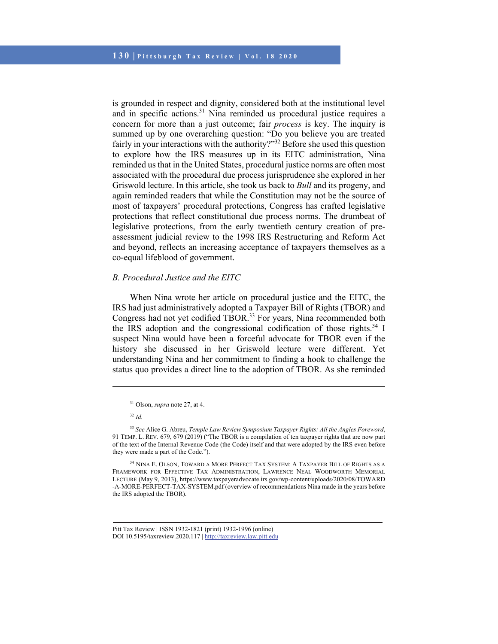is grounded in respect and dignity, considered both at the institutional level and in specific actions.<sup>31</sup> Nina reminded us procedural justice requires a concern for more than a just outcome; fair *process* is key. The inquiry is summed up by one overarching question: "Do you believe you are treated fairly in your interactions with the authority?"<sup>32</sup> Before she used this question to explore how the IRS measures up in its EITC administration, Nina reminded us that in the United States, procedural justice norms are often most associated with the procedural due process jurisprudence she explored in her Griswold lecture. In this article, she took us back to *Bull* and its progeny, and again reminded readers that while the Constitution may not be the source of most of taxpayers' procedural protections, Congress has crafted legislative protections that reflect constitutional due process norms. The drumbeat of legislative protections, from the early twentieth century creation of preassessment judicial review to the 1998 IRS Restructuring and Reform Act and beyond, reflects an increasing acceptance of taxpayers themselves as a co-equal lifeblood of government.

# *B. Procedural Justice and the EITC*

When Nina wrote her article on procedural justice and the EITC, the IRS had just administratively adopted a Taxpayer Bill of Rights (TBOR) and Congress had not yet codified TBOR.<sup>33</sup> For years, Nina recommended both the IRS adoption and the congressional codification of those rights.<sup>34</sup> I suspect Nina would have been a forceful advocate for TBOR even if the history she discussed in her Griswold lecture were different. Yet understanding Nina and her commitment to finding a hook to challenge the status quo provides a direct line to the adoption of TBOR. As she reminded

<sup>31</sup> Olson, *supra* note 27, at 4.

<sup>32</sup> *Id.*

<sup>33</sup> *See* Alice G. Abreu, *Temple Law Review Symposium Taxpayer Rights: All the Angles Foreword*, 91 TEMP. L. REV. 679, 679 (2019) ("The TBOR is a compilation of ten taxpayer rights that are now part of the text of the Internal Revenue Code (the Code) itself and that were adopted by the IRS even before they were made a part of the Code.").

<sup>34</sup> NINA E. OLSON, TOWARD A MORE PERFECT TAX SYSTEM: A TAXPAYER BILL OF RIGHTS AS A FRAMEWORK FOR EFFECTIVE TAX ADMINISTRATION, LAWRENCE NEAL WOODWORTH MEMORIAL LECTURE (May 9, 2013), https://www.taxpayeradvocate.irs.gov/wp-content/uploads/2020/08/TOWARD -A-MORE-PERFECT-TAX-SYSTEM.pdf (overview of recommendations Nina made in the years before the IRS adopted the TBOR).

Pitt Tax Review | ISSN 1932-1821 (print) 1932-1996 (online) DOI 10.5195/taxreview.2020.117 | http://taxreview.law.pitt.edu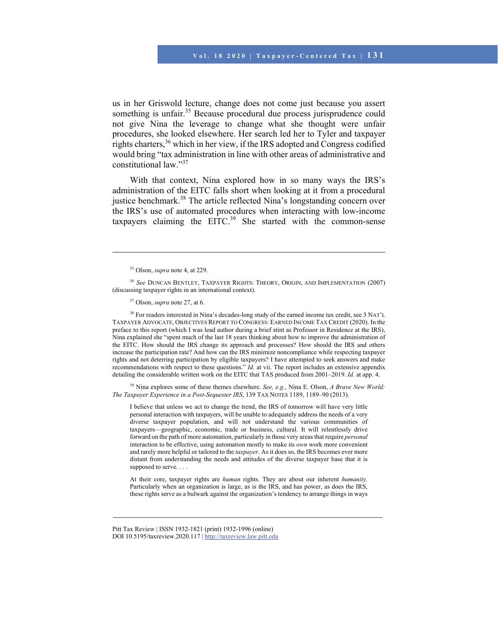us in her Griswold lecture, change does not come just because you assert something is unfair.<sup>35</sup> Because procedural due process jurisprudence could not give Nina the leverage to change what she thought were unfair procedures, she looked elsewhere. Her search led her to Tyler and taxpayer rights charters,<sup>36</sup> which in her view, if the IRS adopted and Congress codified would bring "tax administration in line with other areas of administrative and constitutional law."37

With that context, Nina explored how in so many ways the IRS's administration of the EITC falls short when looking at it from a procedural justice benchmark.<sup>38</sup> The article reflected Nina's longstanding concern over the IRS's use of automated procedures when interacting with low-income taxpayers claiming the  $EITC<sup>39</sup>$  She started with the common-sense

l

38 For readers interested in Nina's decades-long study of the earned income tax credit, see 3 NAT'L TAXPAYER ADVOCATE, OBJECTIVES REPORT TO CONGRESS: EARNED INCOME TAX CREDIT (2020). In the preface to this report (which I was lead author during a brief stint as Professor in Residence at the IRS), Nina explained she "spent much of the last 18 years thinking about how to improve the administration of the EITC. How should the IRS change its approach and processes? How should the IRS and others increase the participation rate? And how can the IRS minimize noncompliance while respecting taxpayer rights and not deterring participation by eligible taxpayers? I have attempted to seek answers and make recommendations with respect to these questions." *Id.* at vii. The report includes an extensive appendix detailing the considerable written work on the EITC that TAS produced from 2001–2019. *Id.* at app. 4.

39 Nina explores some of these themes elsewhere. *See, e.g.*, Nina E. Olson, *A Brave New World: The Taxpayer Experience in a Post-Sequester IRS*, 139 TAX NOTES 1189, 1189–90 (2013).

I believe that unless we act to change the trend, the IRS of tomorrow will have very little personal interaction with taxpayers, will be unable to adequately address the needs of a very diverse taxpayer population, and will not understand the various communities of taxpayers—geographic, economic, trade or business, cultural. It will relentlessly drive forward on the path of more automation, particularly in those very areas that require *personal* interaction to be effective, using automation mostly to make its *own* work more convenient and rarely more helpful or tailored to the *taxpayer*. As it does so, the IRS becomes ever more distant from understanding the needs and attitudes of the diverse taxpayer base that it is supposed to serve....

At their core, taxpayer rights are *human* rights. They are about our inherent *humanity*. Particularly when an organization is large, as is the IRS, and has power, as does the IRS, these rights serve as a bulwark against the organization's tendency to arrange things in ways

<sup>35</sup> Olson, *supra* note 4, at 229.

<sup>36</sup> *See* DUNCAN BENTLEY, TAXPAYER RIGHTS: THEORY, ORIGIN, AND IMPLEMENTATION (2007) (discussing taxpayer rights in an international context).

<sup>37</sup> Olson, *supra* note 27, at 6.

Pitt Tax Review | ISSN 1932-1821 (print) 1932-1996 (online) DOI 10.5195/taxreview.2020.117 | http://taxreview.law.pitt.edu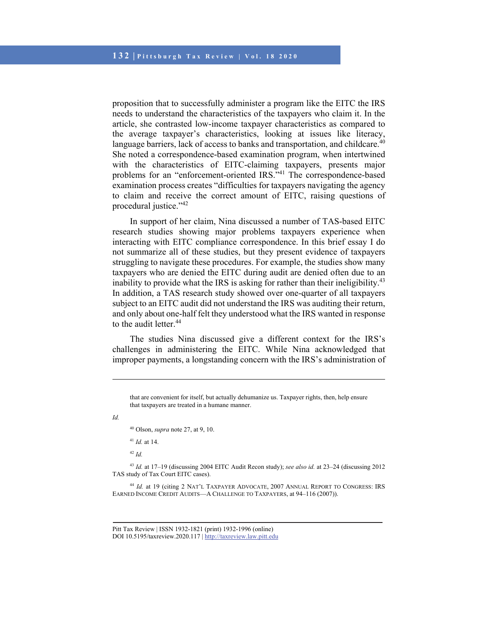proposition that to successfully administer a program like the EITC the IRS needs to understand the characteristics of the taxpayers who claim it. In the article, she contrasted low-income taxpayer characteristics as compared to the average taxpayer's characteristics, looking at issues like literacy, language barriers, lack of access to banks and transportation, and childcare.<sup>40</sup> She noted a correspondence-based examination program, when intertwined with the characteristics of EITC-claiming taxpayers, presents major problems for an "enforcement-oriented IRS."<sup>41</sup> The correspondence-based examination process creates "difficulties for taxpayers navigating the agency to claim and receive the correct amount of EITC, raising questions of procedural justice."<sup>42</sup>

In support of her claim, Nina discussed a number of TAS-based EITC research studies showing major problems taxpayers experience when interacting with EITC compliance correspondence. In this brief essay I do not summarize all of these studies, but they present evidence of taxpayers struggling to navigate these procedures. For example, the studies show many taxpayers who are denied the EITC during audit are denied often due to an inability to provide what the IRS is asking for rather than their ineligibility.<sup>43</sup> In addition, a TAS research study showed over one-quarter of all taxpayers subject to an EITC audit did not understand the IRS was auditing their return, and only about one-half felt they understood what the IRS wanted in response to the audit letter.<sup>44</sup>

The studies Nina discussed give a different context for the IRS's challenges in administering the EITC. While Nina acknowledged that improper payments, a longstanding concern with the IRS's administration of

*Id.* 

l

40 Olson, *supra* note 27, at 9, 10.

<sup>41</sup> *Id.* at 14.

<sup>42</sup> *Id.*

<sup>43</sup> *Id.* at 17–19 (discussing 2004 EITC Audit Recon study); *see also id.* at 23–24 (discussing 2012 TAS study of Tax Court EITC cases).

<sup>44</sup> *Id.* at 19 (citing 2 NAT'L TAXPAYER ADVOCATE, 2007 ANNUAL REPORT TO CONGRESS: IRS EARNED INCOME CREDIT AUDITS—A CHALLENGE TO TAXPAYERS, at 94–116 (2007)).

that are convenient for itself, but actually dehumanize us. Taxpayer rights, then, help ensure that taxpayers are treated in a humane manner.

Pitt Tax Review | ISSN 1932-1821 (print) 1932-1996 (online) DOI 10.5195/taxreview.2020.117 | http://taxreview.law.pitt.edu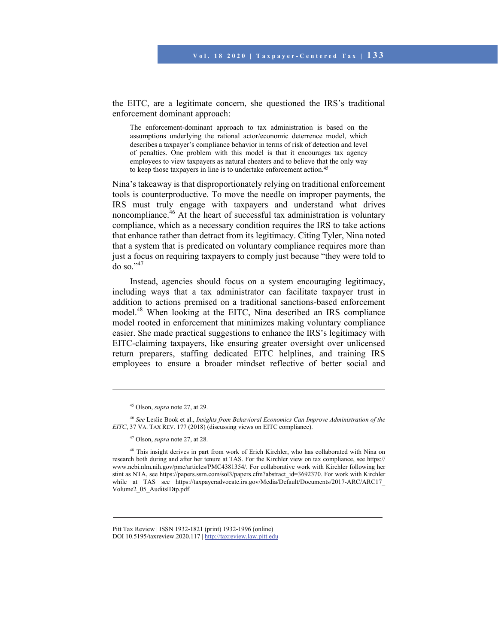the EITC, are a legitimate concern, she questioned the IRS's traditional enforcement dominant approach:

The enforcement-dominant approach to tax administration is based on the assumptions underlying the rational actor/economic deterrence model, which describes a taxpayer's compliance behavior in terms of risk of detection and level of penalties. One problem with this model is that it encourages tax agency employees to view taxpayers as natural cheaters and to believe that the only way to keep those taxpayers in line is to undertake enforcement action.45

Nina's takeaway is that disproportionately relying on traditional enforcement tools is counterproductive. To move the needle on improper payments, the IRS must truly engage with taxpayers and understand what drives noncompliance. $46$  At the heart of successful tax administration is voluntary compliance, which as a necessary condition requires the IRS to take actions that enhance rather than detract from its legitimacy. Citing Tyler, Nina noted that a system that is predicated on voluntary compliance requires more than just a focus on requiring taxpayers to comply just because "they were told to do so."47

Instead, agencies should focus on a system encouraging legitimacy, including ways that a tax administrator can facilitate taxpayer trust in addition to actions premised on a traditional sanctions-based enforcement model.48 When looking at the EITC, Nina described an IRS compliance model rooted in enforcement that minimizes making voluntary compliance easier. She made practical suggestions to enhance the IRS's legitimacy with EITC-claiming taxpayers, like ensuring greater oversight over unlicensed return preparers, staffing dedicated EITC helplines, and training IRS employees to ensure a broader mindset reflective of better social and

<sup>45</sup> Olson, *supra* note 27, at 29.

<sup>46</sup> *See* Leslie Book et al., *Insights from Behavioral Economics Can Improve Administration of the EITC*, 37 VA. TAX REV. 177 (2018) (discussing views on EITC compliance).

<sup>47</sup> Olson, *supra* note 27, at 28.

<sup>&</sup>lt;sup>48</sup> This insight derives in part from work of Erich Kirchler, who has collaborated with Nina on research both during and after her tenure at TAS. For the Kirchler view on tax compliance, see https:// www.ncbi.nlm.nih.gov/pmc/articles/PMC4381354/. For collaborative work with Kirchler following her stint as NTA, see https://papers.ssrn.com/sol3/papers.cfm?abstract\_id=3692370. For work with Kirchler while at TAS see https://taxpayeradvocate.irs.gov/Media/Default/Documents/2017-ARC/ARC17 Volume2\_05\_AuditsIDtp.pdf.

Pitt Tax Review | ISSN 1932-1821 (print) 1932-1996 (online) DOI 10.5195/taxreview.2020.117 | http://taxreview.law.pitt.edu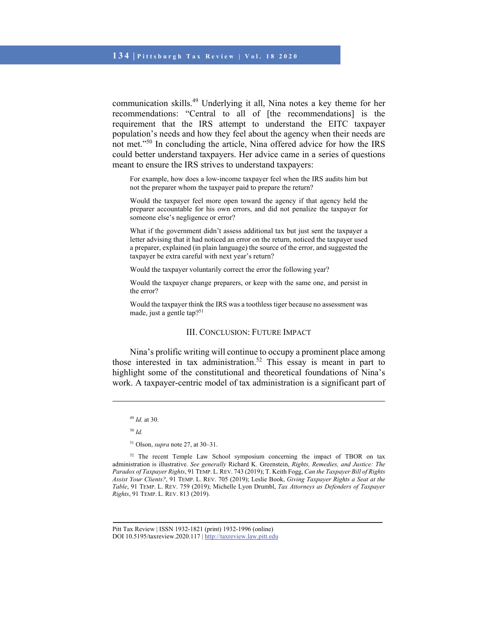communication skills.49 Underlying it all, Nina notes a key theme for her recommendations: "Central to all of [the recommendations] is the requirement that the IRS attempt to understand the EITC taxpayer population's needs and how they feel about the agency when their needs are not met."<sup>50</sup> In concluding the article, Nina offered advice for how the IRS could better understand taxpayers. Her advice came in a series of questions meant to ensure the IRS strives to understand taxpayers:

For example, how does a low-income taxpayer feel when the IRS audits him but not the preparer whom the taxpayer paid to prepare the return?

Would the taxpayer feel more open toward the agency if that agency held the preparer accountable for his own errors, and did not penalize the taxpayer for someone else's negligence or error?

What if the government didn't assess additional tax but just sent the taxpayer a letter advising that it had noticed an error on the return, noticed the taxpayer used a preparer, explained (in plain language) the source of the error, and suggested the taxpayer be extra careful with next year's return?

Would the taxpayer voluntarily correct the error the following year?

Would the taxpayer change preparers, or keep with the same one, and persist in the error?

Would the taxpayer think the IRS was a toothless tiger because no assessment was made, just a gentle tap?51

#### III. CONCLUSION: FUTURE IMPACT

Nina's prolific writing will continue to occupy a prominent place among those interested in tax administration.<sup>52</sup> This essay is meant in part to highlight some of the constitutional and theoretical foundations of Nina's work. A taxpayer-centric model of tax administration is a significant part of

<sup>50</sup> *Id.*

<sup>49</sup> *Id.* at 30.

<sup>51</sup> Olson, *supra* note 27, at 30–31.

<sup>&</sup>lt;sup>52</sup> The recent Temple Law School symposium concerning the impact of TBOR on tax administration is illustrative. *See generally* Richard K. Greenstein, *Rights, Remedies, and Justice: The Paradox of Taxpayer Rights*, 91 TEMP. L.REV. 743 (2019); T. Keith Fogg, *Can the Taxpayer Bill of Rights Assist Your Clients?*, 91 TEMP. L. REV. 705 (2019); Leslie Book, *Giving Taxpayer Rights a Seat at the Table*, 91 TEMP. L. REV. 759 (2019); Michelle Lyon Drumbl, *Tax Attorneys as Defenders of Taxpayer Rights*, 91 TEMP. L. REV. 813 (2019).

Pitt Tax Review | ISSN 1932-1821 (print) 1932-1996 (online) DOI 10.5195/taxreview.2020.117 | http://taxreview.law.pitt.edu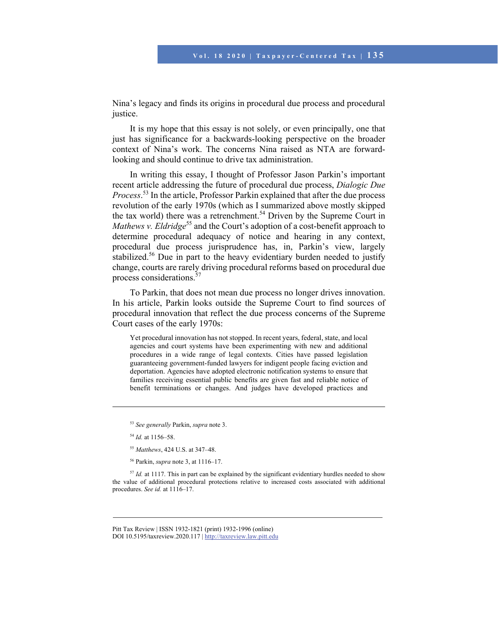Nina's legacy and finds its origins in procedural due process and procedural justice.

It is my hope that this essay is not solely, or even principally, one that just has significance for a backwards-looking perspective on the broader context of Nina's work. The concerns Nina raised as NTA are forwardlooking and should continue to drive tax administration.

In writing this essay, I thought of Professor Jason Parkin's important recent article addressing the future of procedural due process, *Dialogic Due Process*. 53 In the article, Professor Parkin explained that after the due process revolution of the early 1970s (which as I summarized above mostly skipped the tax world) there was a retrenchment.<sup>54</sup> Driven by the Supreme Court in *Mathews v. Eldridge*<sup>55</sup> and the Court's adoption of a cost-benefit approach to determine procedural adequacy of notice and hearing in any context, procedural due process jurisprudence has, in, Parkin's view, largely stabilized.<sup>56</sup> Due in part to the heavy evidentiary burden needed to justify change, courts are rarely driving procedural reforms based on procedural due process considerations.<sup>57</sup>

To Parkin, that does not mean due process no longer drives innovation. In his article, Parkin looks outside the Supreme Court to find sources of procedural innovation that reflect the due process concerns of the Supreme Court cases of the early 1970s:

Yet procedural innovation has not stopped. In recent years, federal, state, and local agencies and court systems have been experimenting with new and additional procedures in a wide range of legal contexts. Cities have passed legislation guaranteeing government-funded lawyers for indigent people facing eviction and deportation. Agencies have adopted electronic notification systems to ensure that families receiving essential public benefits are given fast and reliable notice of benefit terminations or changes. And judges have developed practices and

 $\overline{\phantom{a}}$ 

<sup>53</sup> *See generally* Parkin, *supra* note 3.

<sup>54</sup> *Id.* at 1156–58.

<sup>55</sup> *Matthews*, 424 U.S. at 347–48.

<sup>56</sup> Parkin, *supra* note 3, at 1116–17.

<sup>&</sup>lt;sup>57</sup> *Id.* at 1117. This in part can be explained by the significant evidentiary hurdles needed to show the value of additional procedural protections relative to increased costs associated with additional procedures. *See id.* at 1116–17.

Pitt Tax Review | ISSN 1932-1821 (print) 1932-1996 (online) DOI 10.5195/taxreview.2020.117 | http://taxreview.law.pitt.edu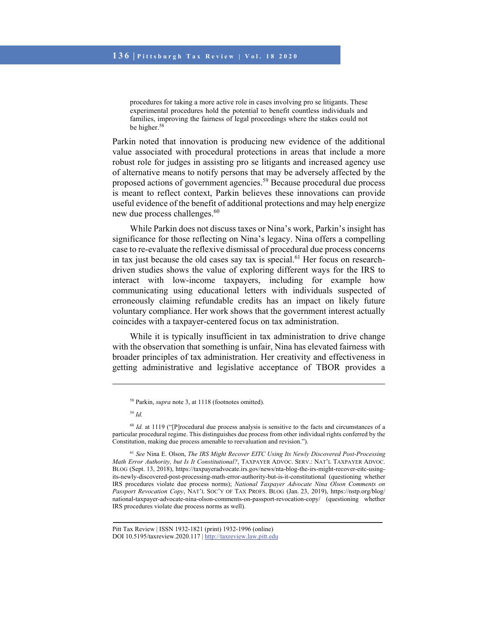procedures for taking a more active role in cases involving pro se litigants. These experimental procedures hold the potential to benefit countless individuals and families, improving the fairness of legal proceedings where the stakes could not be higher.<sup>58</sup>

Parkin noted that innovation is producing new evidence of the additional value associated with procedural protections in areas that include a more robust role for judges in assisting pro se litigants and increased agency use of alternative means to notify persons that may be adversely affected by the proposed actions of government agencies.59 Because procedural due process is meant to reflect context, Parkin believes these innovations can provide useful evidence of the benefit of additional protections and may help energize new due process challenges.<sup>60</sup>

While Parkin does not discuss taxes or Nina's work, Parkin's insight has significance for those reflecting on Nina's legacy. Nina offers a compelling case to re-evaluate the reflexive dismissal of procedural due process concerns in tax just because the old cases say tax is special.<sup>61</sup> Her focus on researchdriven studies shows the value of exploring different ways for the IRS to interact with low-income taxpayers, including for example how communicating using educational letters with individuals suspected of erroneously claiming refundable credits has an impact on likely future voluntary compliance. Her work shows that the government interest actually coincides with a taxpayer-centered focus on tax administration.

While it is typically insufficient in tax administration to drive change with the observation that something is unfair, Nina has elevated fairness with broader principles of tax administration. Her creativity and effectiveness in getting administrative and legislative acceptance of TBOR provides a

<sup>58</sup> Parkin, *supra* note 3, at 1118 (footnotes omitted).

<sup>59</sup> *Id.*

<sup>&</sup>lt;sup>60</sup> *Id.* at 1119 ("[P]rocedural due process analysis is sensitive to the facts and circumstances of a particular procedural regime. This distinguishes due process from other individual rights conferred by the Constitution, making due process amenable to reevaluation and revision.").

<sup>61</sup> *See* Nina E. Olson, *The IRS Might Recover EITC Using Its Newly Discovered Post-Processing Math Error Authority, but Is It Constitutional?*, TAXPAYER ADVOC. SERV.: NAT'L TAXPAYER ADVOC. BLOG (Sept. 13, 2018), https://taxpayeradvocate.irs.gov/news/nta-blog-the-irs-might-recover-eitc-usingits-newly-discovered-post-processing-math-error-authority-but-is-it-constitutional (questioning whether IRS procedures violate due process norms); *National Taxpayer Advocate Nina Olson Comments on Passport Revocation Copy*, NAT'L SOC'Y OF TAX PROFS. BLOG (Jan. 23, 2019), https://nstp.org/blog/ national-taxpayer-advocate-nina-olson-comments-on-passport-revocation-copy/ (questioning whether IRS procedures violate due process norms as well).

Pitt Tax Review | ISSN 1932-1821 (print) 1932-1996 (online) DOI 10.5195/taxreview.2020.117 | http://taxreview.law.pitt.edu